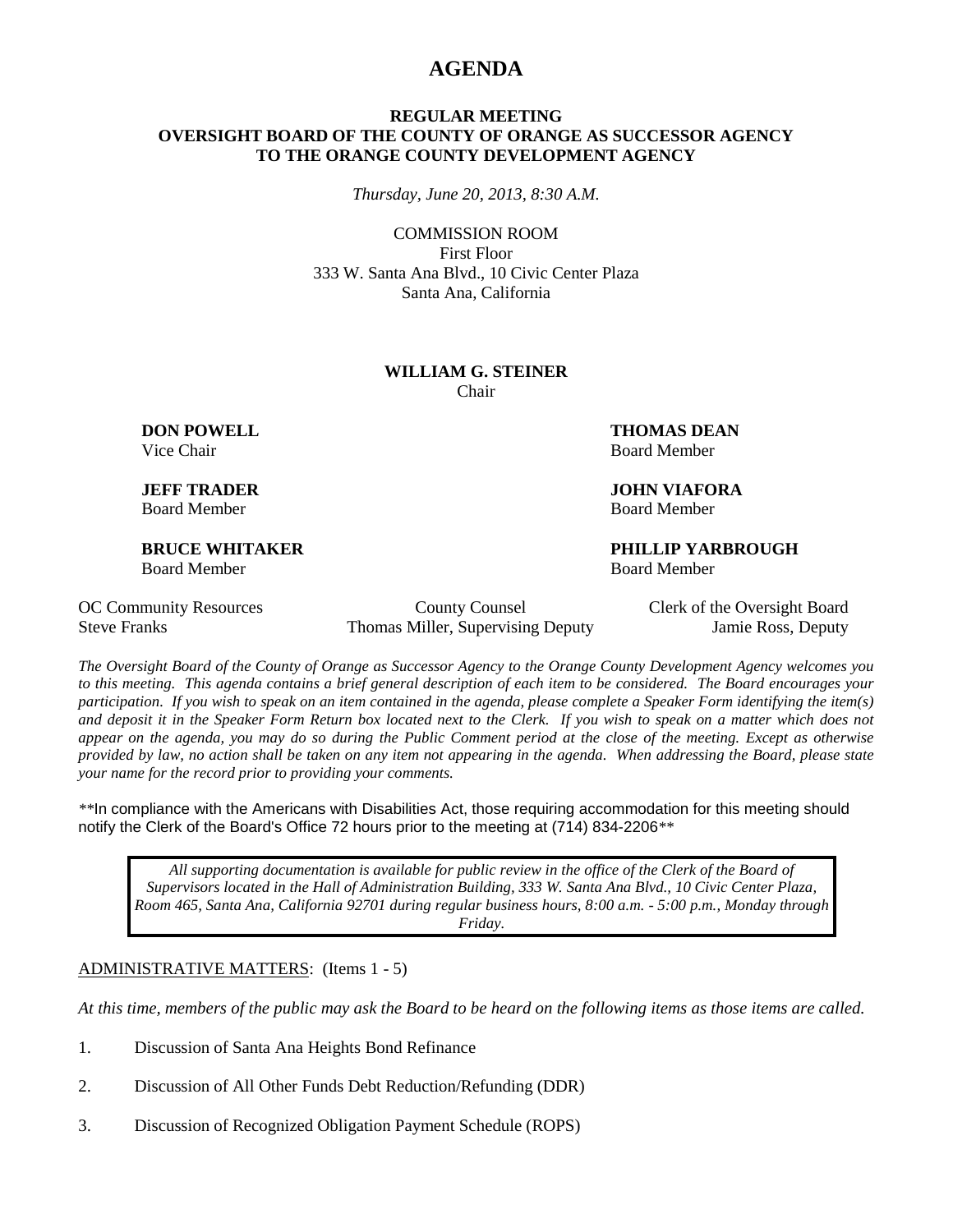## **AGENDA**

#### **REGULAR MEETING OVERSIGHT BOARD OF THE COUNTY OF ORANGE AS SUCCESSOR AGENCY TO THE ORANGE COUNTY DEVELOPMENT AGENCY**

*Thursday, June 20, 2013, 8:30 A.M.*

COMMISSION ROOM First Floor 333 W. Santa Ana Blvd., 10 Civic Center Plaza Santa Ana, California

#### **WILLIAM G. STEINER** Chair

Board Member Board Member

Board Member Board Member

**DON POWELL THOMAS DEAN** Vice Chair **Board Member** Board Member

**JEFF TRADER JOHN VIAFORA**

**BRUCE WHITAKER PHILLIP YARBROUGH**

OC Community Resources County County Counsel Clerk of the Oversight Board Steve Franks Thomas Miller, Supervising Deputy Jamie Ross, Deputy

*The Oversight Board of the County of Orange as Successor Agency to the Orange County Development Agency welcomes you to this meeting. This agenda contains a brief general description of each item to be considered. The Board encourages your participation. If you wish to speak on an item contained in the agenda, please complete a Speaker Form identifying the item(s) and deposit it in the Speaker Form Return box located next to the Clerk. If you wish to speak on a matter which does not appear on the agenda, you may do so during the Public Comment period at the close of the meeting. Except as otherwise provided by law, no action shall be taken on any item not appearing in the agenda. When addressing the Board, please state your name for the record prior to providing your comments.* 

*\*\**In compliance with the Americans with Disabilities Act, those requiring accommodation for this meeting should notify the Clerk of the Board's Office 72 hours prior to the meeting at (714) 834-2206*\*\**

*All supporting documentation is available for public review in the office of the Clerk of the Board of Supervisors located in the Hall of Administration Building, 333 W. Santa Ana Blvd., 10 Civic Center Plaza, Room 465, Santa Ana, California 92701 during regular business hours, 8:00 a.m. - 5:00 p.m., Monday through Friday.*

ADMINISTRATIVE MATTERS: (Items 1 - 5)

*At this time, members of the public may ask the Board to be heard on the following items as those items are called.*

- 1. Discussion of Santa Ana Heights Bond Refinance
- 2. Discussion of All Other Funds Debt Reduction/Refunding (DDR)
- 3. Discussion of Recognized Obligation Payment Schedule (ROPS)